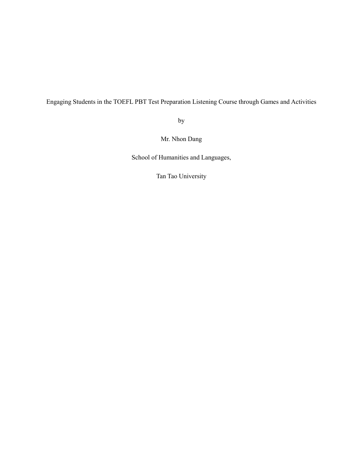Engaging Students in the TOEFL PBT Test Preparation Listening Course through Games and Activities

by

Mr. Nhon Dang

School of Humanities and Languages,

Tan Tao University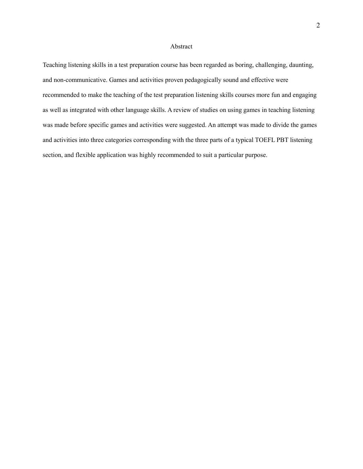## Abstract

Teaching listening skills in a test preparation course has been regarded as boring, challenging, daunting, and non-communicative. Games and activities proven pedagogically sound and effective were recommended to make the teaching of the test preparation listening skills courses more fun and engaging as well as integrated with other language skills. A review of studies on using games in teaching listening was made before specific games and activities were suggested. An attempt was made to divide the games and activities into three categories corresponding with the three parts of a typical TOEFL PBT listening section, and flexible application was highly recommended to suit a particular purpose.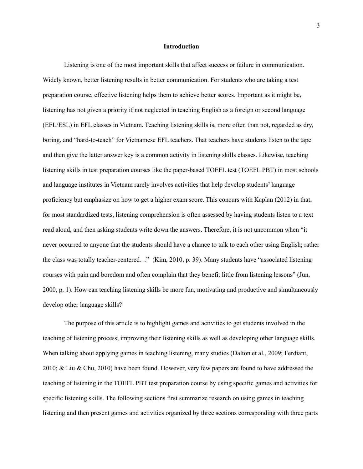#### **Introduction**

Listening is one of the most important skills that affect success or failure in communication. Widely known, better listening results in better communication. For students who are taking a test preparation course, effective listening helps them to achieve better scores. Important as it might be, listening has not given a priority if not neglected in teaching English as a foreign or second language (EFL/ESL) in EFL classes in Vietnam. Teaching listening skills is, more often than not, regarded as dry, boring, and "hard-to-teach" for Vietnamese EFL teachers. That teachers have students listen to the tape and then give the latter answer key is a common activity in listening skills classes. Likewise, teaching listening skills in test preparation courses like the paper-based TOEFL test (TOEFL PBT) in most schools and language institutes in Vietnam rarely involves activities that help develop students' language proficiency but emphasize on how to get a higher exam score. This concurs with Kaplan (2012) in that, for most standardized tests, listening comprehension is often assessed by having students listen to a text read aloud, and then asking students write down the answers. Therefore, it is not uncommon when "it never occurred to anyone that the students should have a chance to talk to each other using English; rather the class was totally teacher-centered…" (Kim, 2010, p. 39). Many students have "associated listening courses with pain and boredom and often complain that they benefit little from listening lessons" (Jun, 2000, p. 1). How can teaching listening skills be more fun, motivating and productive and simultaneously develop other language skills?

The purpose of this article is to highlight games and activities to get students involved in the teaching of listening process, improving their listening skills as well as developing other language skills. When talking about applying games in teaching listening, many studies (Dalton et al., 2009; Ferdiant, 2010; & Liu & Chu, 2010) have been found. However, very few papers are found to have addressed the teaching of listening in the TOEFL PBT test preparation course by using specific games and activities for specific listening skills. The following sections first summarize research on using games in teaching listening and then present games and activities organized by three sections corresponding with three parts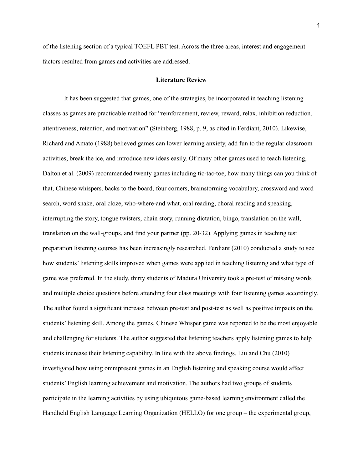of the listening section of a typical TOEFL PBT test. Across the three areas, interest and engagement factors resulted from games and activities are addressed.

### **Literature Review**

It has been suggested that games, one of the strategies, be incorporated in teaching listening classes as games are practicable method for "reinforcement, review, reward, relax, inhibition reduction, attentiveness, retention, and motivation" (Steinberg, 1988, p. 9, as cited in Ferdiant, 2010). Likewise, Richard and Amato (1988) believed games can lower learning anxiety, add fun to the regular classroom activities, break the ice, and introduce new ideas easily. Of many other games used to teach listening, Dalton et al. (2009) recommended twenty games including tic-tac-toe, how many things can you think of that, Chinese whispers, backs to the board, four corners, brainstorming vocabulary, crossword and word search, word snake, oral cloze, who-where-and what, oral reading, choral reading and speaking, interrupting the story, tongue twisters, chain story, running dictation, bingo, translation on the wall, translation on the wall-groups, and find your partner (pp. 20-32). Applying games in teaching test preparation listening courses has been increasingly researched. Ferdiant (2010) conducted a study to see how students' listening skills improved when games were applied in teaching listening and what type of game was preferred. In the study, thirty students of Madura University took a pre-test of missing words and multiple choice questions before attending four class meetings with four listening games accordingly. The author found a significant increase between pre-test and post-test as well as positive impacts on the students' listening skill. Among the games, Chinese Whisper game was reported to be the most enjoyable and challenging for students. The author suggested that listening teachers apply listening games to help students increase their listening capability. In line with the above findings, Liu and Chu (2010) investigated how using omnipresent games in an English listening and speaking course would affect students' English learning achievement and motivation. The authors had two groups of students participate in the learning activities by using ubiquitous game-based learning environment called the Handheld English Language Learning Organization (HELLO) for one group – the experimental group,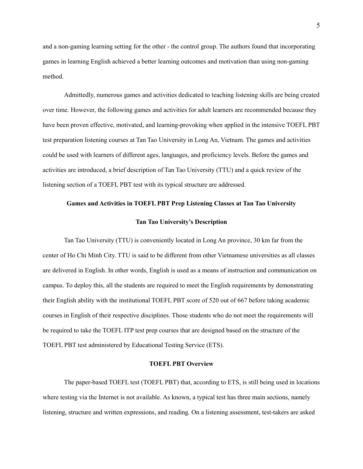and a non-gaming learning setting for the other - the control group. The authors found that incorporating games in learning English achieved a better learning outcomes and motivation than using non-gaming method.

Admittedly, numerous games and activities dedicated to teaching listening skills are being created over time. However, the following games and activities for adult learners are recommended because they have been proven effective, motivated, and learning-provoking when applied in the intensive TOEFL PBT test preparation listening courses at Tan Tao University in Long An, Vietnam. The games and activities could be used with learners of different ages, languages, and proficiency levels. Before the games and activities are introduced, a brief description of Tan Tao University (TTU) and a quick review of the listening section of a TOEFL PBT test with its typical structure are addressed.

## **Games and Activities in TOEFL PBT Prep Listening Classes at Tan Tao University**

#### **Tan Tao University's Description**

Tan Tao University (TTU) is conveniently located in Long An province, 30 km far from the center of Ho Chi Minh City. TTU is said to be different from other Vietnamese universities as all classes are delivered in English. In other words, English is used as a means of instruction and communication on campus. To deploy this, all the students are required to meet the English requirements by demonstrating their English ability with the institutional TOEFL PBT score of 520 out of 667 before taking academic courses in English of their respective disciplines. Those students who do not meet the requirements will be required to take the TOEFL ITP test prep courses that are designed based on the structure of the TOEFL PBT test administered by Educational Testing Service (ETS).

# **TOEFL PBT Overview**

The paper-based TOEFL test (TOEFL PBT) that, according to ETS, is still being used in locations where testing via the Internet is not available. As known, a typical test has three main sections, namely listening, structure and written expressions, and reading. On a listening assessment, test-takers are asked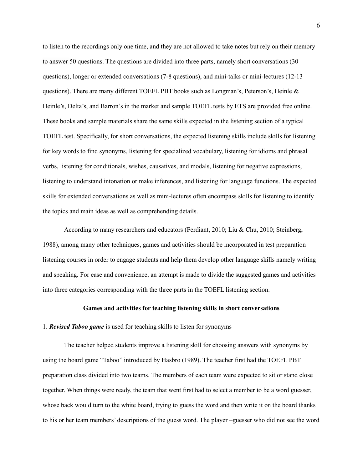to listen to the recordings only one time, and they are not allowed to take notes but rely on their memory to answer 50 questions. The questions are divided into three parts, namely short conversations (30 questions), longer or extended conversations (7-8 questions), and mini-talks or mini-lectures (12-13 questions). There are many different TOEFL PBT books such as Longman's, Peterson's, Heinle & Heinle's, Delta's, and Barron's in the market and sample TOEFL tests by ETS are provided free online. These books and sample materials share the same skills expected in the listening section of a typical TOEFL test. Specifically, for short conversations, the expected listening skills include skills for listening for key words to find synonyms, listening for specialized vocabulary, listening for idioms and phrasal verbs, listening for conditionals, wishes, causatives, and modals, listening for negative expressions, listening to understand intonation or make inferences, and listening for language functions. The expected skills for extended conversations as well as mini-lectures often encompass skills for listening to identify the topics and main ideas as well as comprehending details.

According to many researchers and educators (Ferdiant, 2010; Liu & Chu, 2010; Steinberg, 1988), among many other techniques, games and activities should be incorporated in test preparation listening courses in order to engage students and help them develop other language skills namely writing and speaking. For ease and convenience, an attempt is made to divide the suggested games and activities into three categories corresponding with the three parts in the TOEFL listening section.

#### **Games and activities for teaching listening skills in short conversations**

## 1. *Revised Taboo game* is used for teaching skills to listen for synonyms

The teacher helped students improve a listening skill for choosing answers with synonyms by using the board game "Taboo" introduced by Hasbro (1989). The teacher first had the TOEFL PBT preparation class divided into two teams. The members of each team were expected to sit or stand close together. When things were ready, the team that went first had to select a member to be a word guesser, whose back would turn to the white board, trying to guess the word and then write it on the board thanks to his or her team members' descriptions of the guess word. The player –guesser who did not see the word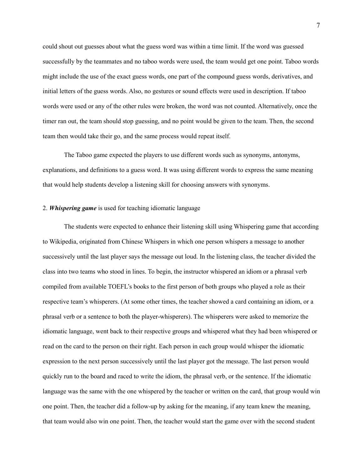could shout out guesses about what the guess word was within a time limit. If the word was guessed successfully by the teammates and no taboo words were used, the team would get one point. Taboo words might include the use of the exact guess words, one part of the compound guess words, derivatives, and initial letters of the guess words. Also, no gestures or sound effects were used in description. If taboo words were used or any of the other rules were broken, the word was not counted. Alternatively, once the timer ran out, the team should stop guessing, and no point would be given to the team. Then, the second team then would take their go, and the same process would repeat itself.

The Taboo game expected the players to use different words such as synonyms, antonyms, explanations, and definitions to a guess word. It was using different words to express the same meaning that would help students develop a listening skill for choosing answers with synonyms.

# 2. *Whispering game* is used for teaching idiomatic language

The students were expected to enhance their listening skill using Whispering game that according to Wikipedia, originated from Chinese Whispers in which one person whispers a message to another successively until the last player says the message out loud. In the listening class, the teacher divided the class into two teams who stood in lines. To begin, the instructor whispered an idiom or a phrasal verb compiled from available TOEFL's books to the first person of both groups who played a role as their respective team's whisperers. (At some other times, the teacher showed a card containing an idiom, or a phrasal verb or a sentence to both the player-whisperers). The whisperers were asked to memorize the idiomatic language, went back to their respective groups and whispered what they had been whispered or read on the card to the person on their right. Each person in each group would whisper the idiomatic expression to the next person successively until the last player got the message. The last person would quickly run to the board and raced to write the idiom, the phrasal verb, or the sentence. If the idiomatic language was the same with the one whispered by the teacher or written on the card, that group would win one point. Then, the teacher did a follow-up by asking for the meaning, if any team knew the meaning, that team would also win one point. Then, the teacher would start the game over with the second student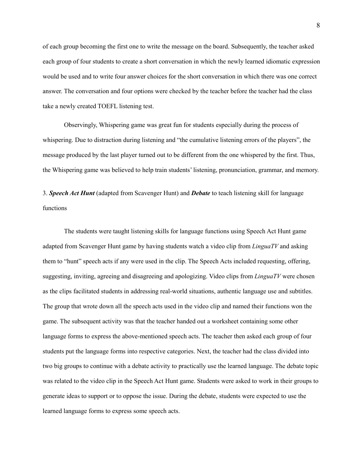of each group becoming the first one to write the message on the board. Subsequently, the teacher asked each group of four students to create a short conversation in which the newly learned idiomatic expression would be used and to write four answer choices for the short conversation in which there was one correct answer. The conversation and four options were checked by the teacher before the teacher had the class take a newly created TOEFL listening test.

Observingly, Whispering game was great fun for students especially during the process of whispering. Due to distraction during listening and "the cumulative listening errors of the players", the message produced by the last player turned out to be different from the one whispered by the first. Thus, the Whispering game was believed to help train students' listening, pronunciation, grammar, and memory.

3. *Speech Act Hunt* (adapted from Scavenger Hunt) and *Debate* to teach listening skill for language functions

The students were taught listening skills for language functions using Speech Act Hunt game adapted from Scavenger Hunt game by having students watch a video clip from *LinguaTV* and asking them to "hunt" speech acts if any were used in the clip. The Speech Acts included requesting, offering, suggesting, inviting, agreeing and disagreeing and apologizing. Video clips from *LinguaTV* were chosen as the clips facilitated students in addressing real-world situations, authentic language use and subtitles. The group that wrote down all the speech acts used in the video clip and named their functions won the game. The subsequent activity was that the teacher handed out a worksheet containing some other language forms to express the above-mentioned speech acts. The teacher then asked each group of four students put the language forms into respective categories. Next, the teacher had the class divided into two big groups to continue with a debate activity to practically use the learned language. The debate topic was related to the video clip in the Speech Act Hunt game. Students were asked to work in their groups to generate ideas to support or to oppose the issue. During the debate, students were expected to use the learned language forms to express some speech acts.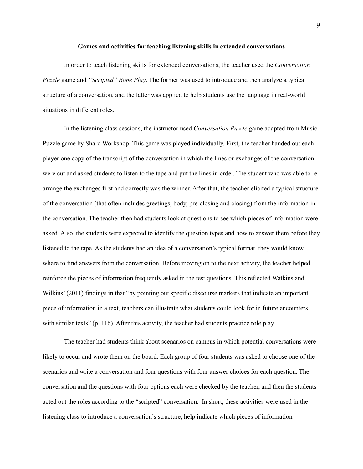#### **Games and activities for teaching listening skills in extended conversations**

In order to teach listening skills for extended conversations, the teacher used the *Conversation Puzzle* game and *"Scripted" Rope Play*. The former was used to introduce and then analyze a typical structure of a conversation, and the latter was applied to help students use the language in real-world situations in different roles.

In the listening class sessions, the instructor used *Conversation Puzzle* game adapted from Music Puzzle game by Shard Workshop. This game was played individually. First, the teacher handed out each player one copy of the transcript of the conversation in which the lines or exchanges of the conversation were cut and asked students to listen to the tape and put the lines in order. The student who was able to rearrange the exchanges first and correctly was the winner. After that, the teacher elicited a typical structure of the conversation (that often includes greetings, body, pre-closing and closing) from the information in the conversation. The teacher then had students look at questions to see which pieces of information were asked. Also, the students were expected to identify the question types and how to answer them before they listened to the tape. As the students had an idea of a conversation's typical format, they would know where to find answers from the conversation. Before moving on to the next activity, the teacher helped reinforce the pieces of information frequently asked in the test questions. This reflected Watkins and Wilkins' (2011) findings in that "by pointing out specific discourse markers that indicate an important piece of information in a text, teachers can illustrate what students could look for in future encounters with similar texts" (p. 116). After this activity, the teacher had students practice role play.

The teacher had students think about scenarios on campus in which potential conversations were likely to occur and wrote them on the board. Each group of four students was asked to choose one of the scenarios and write a conversation and four questions with four answer choices for each question. The conversation and the questions with four options each were checked by the teacher, and then the students acted out the roles according to the "scripted" conversation. In short, these activities were used in the listening class to introduce a conversation's structure, help indicate which pieces of information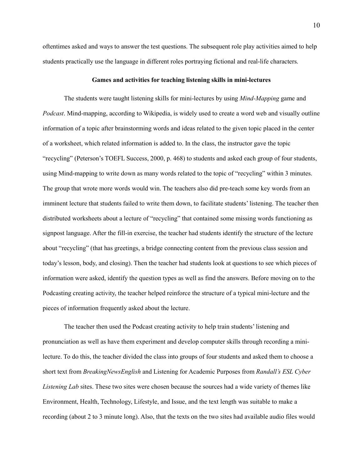oftentimes asked and ways to answer the test questions. The subsequent role play activities aimed to help students practically use the language in different roles portraying fictional and real-life characters.

### **Games and activities for teaching listening skills in mini-lectures**

The students were taught listening skills for mini-lectures by using *Mind-Mapping* game and *Podcast*. Mind-mapping, according to Wikipedia, is widely used to create a word web and visually outline information of a topic after brainstorming words and ideas related to the given topic placed in the center of a worksheet, which related information is added to. In the class, the instructor gave the topic "recycling" (Peterson's TOEFL Success, 2000, p. 468) to students and asked each group of four students, using Mind-mapping to write down as many words related to the topic of "recycling" within 3 minutes. The group that wrote more words would win. The teachers also did pre-teach some key words from an imminent lecture that students failed to write them down, to facilitate students' listening. The teacher then distributed worksheets about a lecture of "recycling" that contained some missing words functioning as signpost language. After the fill-in exercise, the teacher had students identify the structure of the lecture about "recycling" (that has greetings, a bridge connecting content from the previous class session and today's lesson, body, and closing). Then the teacher had students look at questions to see which pieces of information were asked, identify the question types as well as find the answers. Before moving on to the Podcasting creating activity, the teacher helped reinforce the structure of a typical mini-lecture and the pieces of information frequently asked about the lecture.

The teacher then used the Podcast creating activity to help train students' listening and pronunciation as well as have them experiment and develop computer skills through recording a minilecture. To do this, the teacher divided the class into groups of four students and asked them to choose a short text from *BreakingNewsEnglish* and Listening for Academic Purposes from *Randall's ESL Cyber Listening Lab* sites. These two sites were chosen because the sources had a wide variety of themes like Environment, Health, Technology, Lifestyle, and Issue, and the text length was suitable to make a recording (about 2 to 3 minute long). Also, that the texts on the two sites had available audio files would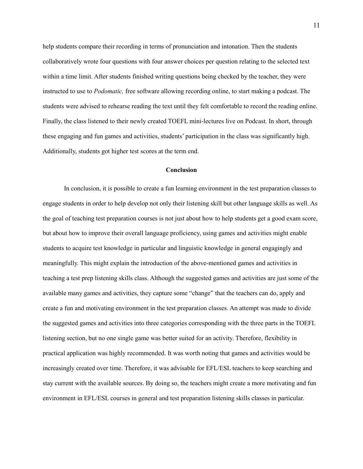help students compare their recording in terms of pronunciation and intonation. Then the students collaboratively wrote four questions with four answer choices per question relating to the selected text within a time limit. After students finished writing questions being checked by the teacher, they were instructed to use to *Podomatic,* free software allowing recording online, to start making a podcast. The students were advised to rehearse reading the text until they felt comfortable to record the reading online. Finally, the class listened to their newly created TOEFL mini-lectures live on Podcast. In short, through these engaging and fun games and activities, students' participation in the class was significantly high. Additionally, students got higher test scores at the term end.

# **Conclusion**

In conclusion, it is possible to create a fun learning environment in the test preparation classes to engage students in order to help develop not only their listening skill but other language skills as well. As the goal of teaching test preparation courses is not just about how to help students get a good exam score, but about how to improve their overall language proficiency, using games and activities might enable students to acquire test knowledge in particular and linguistic knowledge in general engagingly and meaningfully. This might explain the introduction of the above-mentioned games and activities in teaching a test prep listening skills class. Although the suggested games and activities are just some of the available many games and activities, they capture some "change" that the teachers can do, apply and create a fun and motivating environment in the test preparation classes. An attempt was made to divide the suggested games and activities into three categories corresponding with the three parts in the TOEFL listening section, but no one single game was better suited for an activity. Therefore, flexibility in practical application was highly recommended. It was worth noting that games and activities would be increasingly created over time. Therefore, it was advisable for EFL/ESL teachers to keep searching and stay current with the available sources. By doing so, the teachers might create a more motivating and fun environment in EFL/ESL courses in general and test preparation listening skills classes in particular.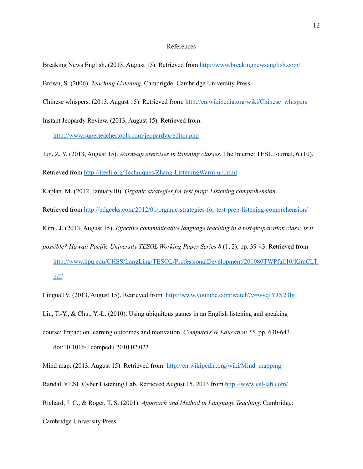# References

Breaking News English. (2013, August 15). Retrieved from http://www.breakingnewsenglish.com/

Brown, S. (2006). *Teaching Listening*. Cambrigde: Cambridge University Press.

Chinese whispers. (2013, August 15). Retrieved from: http://en.wikipedia.org/wiki/Chinese\_whispers

Instant Jeopardy Review. (2013, August 15). Retrieved from:

http://www.superteachertools.com/jeopardyx/editor.php

Jun, Z. Y. (2013, August 15). *Warm-up exercises in listening classes.* The Internet TESL Journal, 6 (10). Retrieved from http://iteslj.org/Techniques/Zhang-ListeningWarm-up.html

Kaplan, M. (2012, January10). *Organic strategies for test prep: Listening comprehension*.

Retrieved from http://edgeeks.com/2012/01/organic-strategies-for-test-prep-listening-comprehension/

Kim., J. (2013, August 15). *Effective communicative language teaching in a test-preparation class: Is it* 

*possible? Hawaii Pacific University TESOL Working Paper Series 8* (1, 2), pp. 39-43. Retrieved from http://www.hpu.edu/CHSS/LangLing/TESOL/ProfessionalDevelopment/201080TWPfall10/KimCLT. pdf

LinguaTV. (2013, August 15). Retrieved from http://www.youtube.com/watch?v=wyqfYJX23lg

Liu, T.-Y., & Chu., Y.-L. (2010). Using ubiquitous games in an English listening and speaking

course: Impact on learning outcomes and motivation. *Computers & Education 55*, pp. 630-643. doi:10.1016/J.compedu.2010.02.023

Mind map. (2013, August 15). Retrieved from: http://en.wikipedia.org/wiki/Mind\_mapping

Randall's ESL Cyber Listening Lab. Retrieved August 15, 2013 from http://www.esl-lab.com/

Richard, J. C., & Roger, T. S. (2001). *Approach and Method in Language Teaching*. Cambridge:

Cambridge University Press